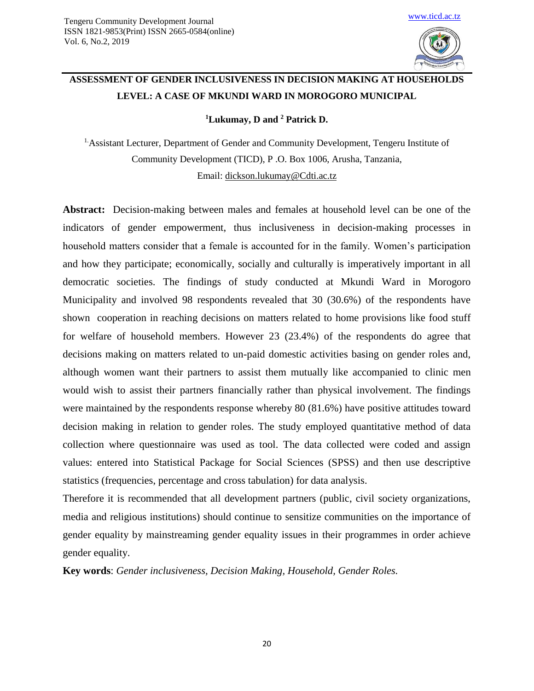

# **ASSESSMENT OF GENDER INCLUSIVENESS IN DECISION MAKING AT HOUSEHOLDS LEVEL: A CASE OF MKUNDI WARD IN MOROGORO MUNICIPAL**

**<sup>1</sup>Lukumay, D and <sup>2</sup> Patrick D.**

1.Assistant Lecturer, Department of Gender and Community Development, Tengeru Institute of Community Development (TICD), P .O. Box 1006, Arusha, Tanzania, Email: [dickson.lukumay@Cdti.ac.tz](mailto:dickson.lukumay@Cdti.ac.tz)

**Abstract:** Decision-making between males and females at household level can be one of the indicators of gender empowerment, thus inclusiveness in decision-making processes in household matters consider that a female is accounted for in the family. Women's participation and how they participate; economically, socially and culturally is imperatively important in all democratic societies. The findings of study conducted at Mkundi Ward in Morogoro Municipality and involved 98 respondents revealed that 30 (30.6%) of the respondents have shown cooperation in reaching decisions on matters related to home provisions like food stuff for welfare of household members. However 23 (23.4%) of the respondents do agree that decisions making on matters related to un-paid domestic activities basing on gender roles and, although women want their partners to assist them mutually like accompanied to clinic men would wish to assist their partners financially rather than physical involvement. The findings were maintained by the respondents response whereby 80 (81.6%) have positive attitudes toward decision making in relation to gender roles. The study employed quantitative method of data collection where questionnaire was used as tool. The data collected were coded and assign values: entered into Statistical Package for Social Sciences (SPSS) and then use descriptive statistics (frequencies, percentage and cross tabulation) for data analysis.

Therefore it is recommended that all development partners (public, civil society organizations, media and religious institutions) should continue to sensitize communities on the importance of gender equality by mainstreaming gender equality issues in their programmes in order achieve gender equality.

**Key words**: *Gender inclusiveness, Decision Making, Household, Gender Roles.*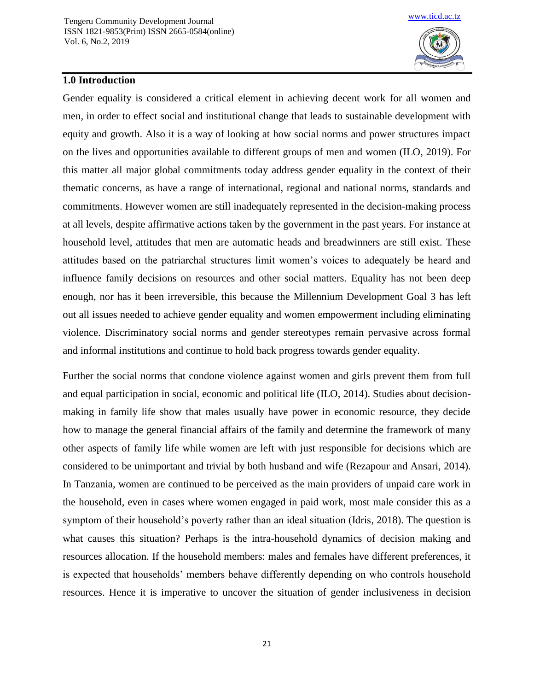

## **1.0 Introduction**

Gender equality is considered a critical element in achieving decent work for all women and men, in order to effect social and institutional change that leads to sustainable development with equity and growth. Also it is a way of looking at how social norms and power structures impact on the lives and opportunities available to different groups of men and women (ILO, 2019). For this matter all major global commitments today address gender equality in the context of their thematic concerns, as have a range of international, regional and national norms, standards and commitments. However women are still inadequately represented in the decision-making process at all levels, despite affirmative actions taken by the government in the past years. For instance at household level, attitudes that men are automatic heads and breadwinners are still exist. These attitudes based on the patriarchal structures limit women's voices to adequately be heard and influence family decisions on resources and other social matters. Equality has not been deep enough, nor has it been irreversible, this because the Millennium Development Goal 3 has left out all issues needed to achieve gender equality and women empowerment including eliminating violence. Discriminatory social norms and gender stereotypes remain pervasive across formal and informal institutions and continue to hold back progress towards gender equality.

Further the social norms that condone violence against women and girls prevent them from full and equal participation in social, economic and political life (ILO, 2014). Studies about decisionmaking in family life show that males usually have power in economic resource, they decide how to manage the general financial affairs of the family and determine the framework of many other aspects of family life while women are left with just responsible for decisions which are considered to be unimportant and trivial by both husband and wife (Rezapour and Ansari, 2014). In Tanzania, women are continued to be perceived as the main providers of unpaid care work in the household, even in cases where women engaged in paid work, most male consider this as a symptom of their household's poverty rather than an ideal situation (Idris, 2018). The question is what causes this situation? Perhaps is the intra-household dynamics of decision making and resources allocation. If the household members: males and females have different preferences, it is expected that households' members behave differently depending on who controls household resources. Hence it is imperative to uncover the situation of gender inclusiveness in decision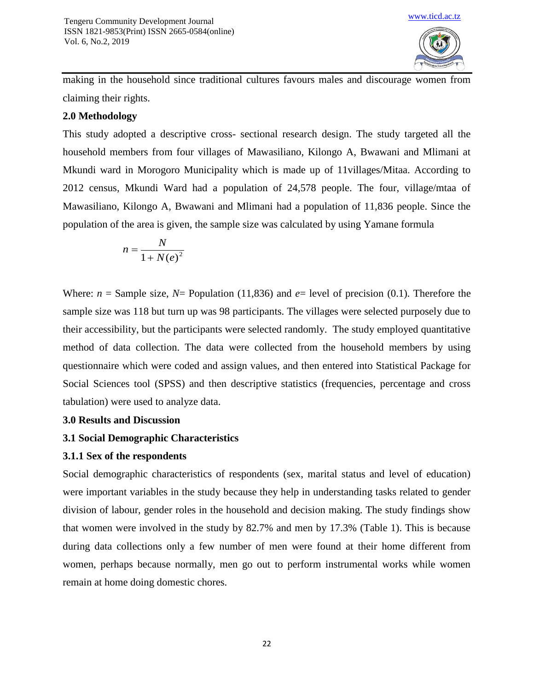

making in the household since traditional cultures favours males and discourage women from claiming their rights.

## **2.0 Methodology**

This study adopted a descriptive cross- sectional research design. The study targeted all the household members from four villages of Mawasiliano, Kilongo A, Bwawani and Mlimani at Mkundi ward in Morogoro Municipality which is made up of 11villages/Mitaa. According to 2012 census, Mkundi Ward had a population of 24,578 people. The four, village/mtaa of Mawasiliano, Kilongo A, Bwawani and Mlimani had a population of 11,836 people. Since the population of the area is given, the sample size was calculated by using Yamane formula

$$
n = \frac{N}{1 + N(e)^2}
$$

Where:  $n =$  Sample size,  $N =$  Population (11,836) and  $e =$  level of precision (0.1). Therefore the sample size was 118 but turn up was 98 participants. The villages were selected purposely due to their accessibility, but the participants were selected randomly. The study employed quantitative method of data collection. The data were collected from the household members by using questionnaire which were coded and assign values, and then entered into Statistical Package for Social Sciences tool (SPSS) and then descriptive statistics (frequencies, percentage and cross tabulation) were used to analyze data.

## **3.0 Results and Discussion**

# **3.1 Social Demographic Characteristics**

## **3.1.1 Sex of the respondents**

Social demographic characteristics of respondents (sex, marital status and level of education) were important variables in the study because they help in understanding tasks related to gender division of labour, gender roles in the household and decision making. The study findings show that women were involved in the study by 82.7% and men by 17.3% (Table 1). This is because during data collections only a few number of men were found at their home different from women, perhaps because normally, men go out to perform instrumental works while women remain at home doing domestic chores.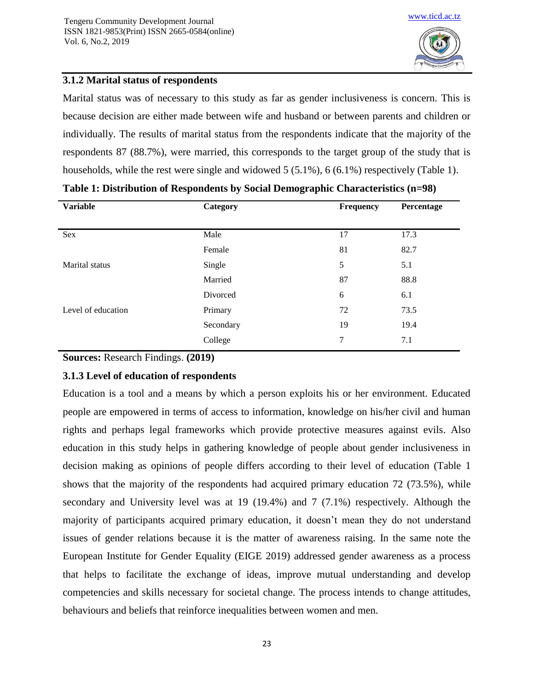

## **3.1.2 Marital status of respondents**

Marital status was of necessary to this study as far as gender inclusiveness is concern. This is because decision are either made between wife and husband or between parents and children or individually. The results of marital status from the respondents indicate that the majority of the respondents 87 (88.7%), were married, this corresponds to the target group of the study that is households, while the rest were single and widowed 5 (5.1%), 6 (6.1%) respectively (Table 1).

| <b>Variable</b>    | Category  | Frequency | Percentage |
|--------------------|-----------|-----------|------------|
| Sex                | Male      | 17        | 17.3       |
|                    | Female    | 81        | 82.7       |
| Marital status     | Single    | 5         | 5.1        |
|                    | Married   | 87        | 88.8       |
|                    | Divorced  | 6         | 6.1        |
| Level of education | Primary   | 72        | 73.5       |
|                    | Secondary | 19        | 19.4       |
|                    | College   | 7         | 7.1        |

#### **Table 1: Distribution of Respondents by Social Demographic Characteristics (n=98)**

**Sources:** Research Findings. **(2019)**

## **3.1.3 Level of education of respondents**

Education is a tool and a means by which a person exploits his or her environment. Educated people are empowered in terms of access to information, knowledge on his/her civil and human rights and perhaps legal frameworks which provide protective measures against evils. Also education in this study helps in gathering knowledge of people about gender inclusiveness in decision making as opinions of people differs according to their level of education (Table 1 shows that the majority of the respondents had acquired primary education 72 (73.5%), while secondary and University level was at 19 (19.4%) and 7 (7.1%) respectively. Although the majority of participants acquired primary education, it doesn't mean they do not understand issues of gender relations because it is the matter of awareness raising. In the same note the European Institute for Gender Equality (EIGE 2019) addressed gender awareness as a process that helps to facilitate the exchange of ideas, improve mutual understanding and develop competencies and skills necessary for societal change. The process intends to change attitudes, behaviours and beliefs that reinforce inequalities between women and men.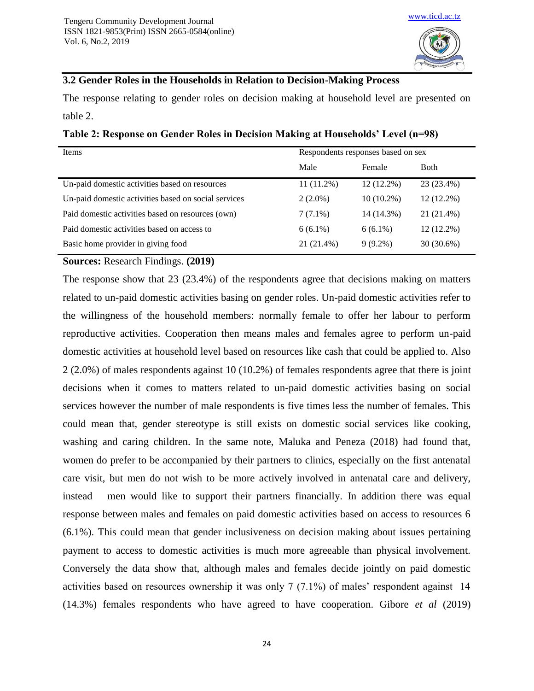

#### **3.2 Gender Roles in the Households in Relation to Decision-Making Process**

The response relating to gender roles on decision making at household level are presented on table 2.

| <b>Items</b>                                         | Respondents responses based on sex |              |              |
|------------------------------------------------------|------------------------------------|--------------|--------------|
|                                                      | Male                               | Female       | <b>Both</b>  |
| Un-paid domestic activities based on resources       | $11(11.2\%)$                       | 12 (12.2%)   | 23 (23.4%)   |
| Un-paid domestic activities based on social services | $2(2.0\%)$                         | $10(10.2\%)$ | $12(12.2\%)$ |
| Paid domestic activities based on resources (own)    | $7(7.1\%)$                         | 14 (14.3%)   | 21 (21.4%)   |
| Paid domestic activities based on access to          | $6(6.1\%)$                         | $6(6.1\%)$   | 12 (12.2%)   |
| Basic home provider in giving food                   | 21 (21.4%)                         | $9(9.2\%)$   | 30 (30.6%)   |

**Table 2: Response on Gender Roles in Decision Making at Households' Level (n=98)**

#### **Sources:** Research Findings. **(2019)**

The response show that 23 (23.4%) of the respondents agree that decisions making on matters related to un-paid domestic activities basing on gender roles. Un-paid domestic activities refer to the willingness of the household members: normally female to offer her labour to perform reproductive activities. Cooperation then means males and females agree to perform un-paid domestic activities at household level based on resources like cash that could be applied to. Also 2 (2.0%) of males respondents against 10 (10.2%) of females respondents agree that there is joint decisions when it comes to matters related to un-paid domestic activities basing on social services however the number of male respondents is five times less the number of females. This could mean that, gender stereotype is still exists on domestic social services like cooking, washing and caring children. In the same note, Maluka and Peneza (2018) had found that, women do prefer to be accompanied by their partners to clinics, especially on the first antenatal care visit, but men do not wish to be more actively involved in antenatal care and delivery, instead men would like to support their partners financially. In addition there was equal response between males and females on paid domestic activities based on access to resources 6 (6.1%). This could mean that gender inclusiveness on decision making about issues pertaining payment to access to domestic activities is much more agreeable than physical involvement. Conversely the data show that, although males and females decide jointly on paid domestic activities based on resources ownership it was only 7 (7.1%) of males' respondent against 14 (14.3%) females respondents who have agreed to have cooperation. Gibore *et al* (2019)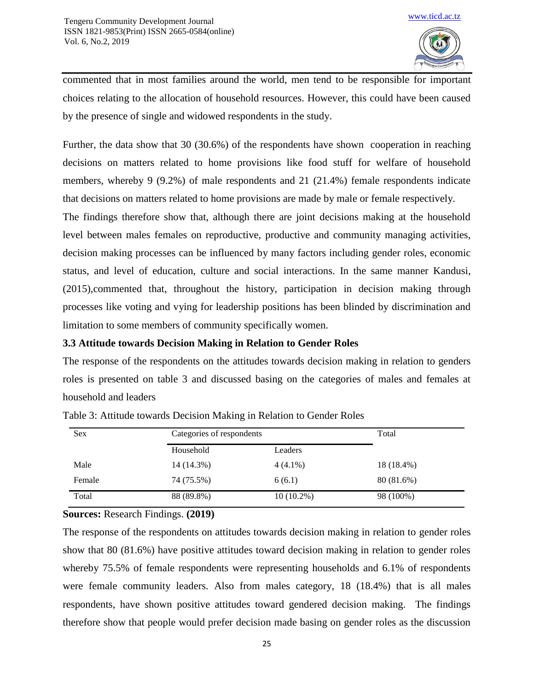

commented that in most families around the world, men tend to be responsible for important choices relating to the allocation of household resources. However, this could have been caused by the presence of single and widowed respondents in the study.

Further, the data show that 30 (30.6%) of the respondents have shown cooperation in reaching decisions on matters related to home provisions like food stuff for welfare of household members, whereby 9 (9.2%) of male respondents and 21 (21.4%) female respondents indicate that decisions on matters related to home provisions are made by male or female respectively.

The findings therefore show that, although there are joint decisions making at the household level between males females on reproductive, productive and community managing activities, decision making processes can be influenced by many factors including gender roles, economic status, and level of education, culture and social interactions. In the same manner Kandusi, (2015),commented that, throughout the history, participation in decision making through processes like voting and vying for leadership positions has been blinded by discrimination and limitation to some members of community specifically women.

# **3.3 Attitude towards Decision Making in Relation to Gender Roles**

The response of the respondents on the attitudes towards decision making in relation to genders roles is presented on table 3 and discussed basing on the categories of males and females at household and leaders

| <b>Sex</b> |            | Categories of respondents |            |
|------------|------------|---------------------------|------------|
|            | Household  | Leaders                   |            |
| Male       | 14 (14.3%) | $4(4.1\%)$                | 18 (18.4%) |
| Female     | 74 (75.5%) | 6(6.1)                    | 80 (81.6%) |
| Total      | 88 (89.8%) | $10(10.2\%)$              | 98 (100%)  |

| Table 3: Attitude towards Decision Making in Relation to Gender Roles |  |  |
|-----------------------------------------------------------------------|--|--|
|                                                                       |  |  |

**Sources:** Research Findings. **(2019)**

The response of the respondents on attitudes towards decision making in relation to gender roles show that 80 (81.6%) have positive attitudes toward decision making in relation to gender roles whereby 75.5% of female respondents were representing households and 6.1% of respondents were female community leaders. Also from males category, 18 (18.4%) that is all males respondents, have shown positive attitudes toward gendered decision making. The findings therefore show that people would prefer decision made basing on gender roles as the discussion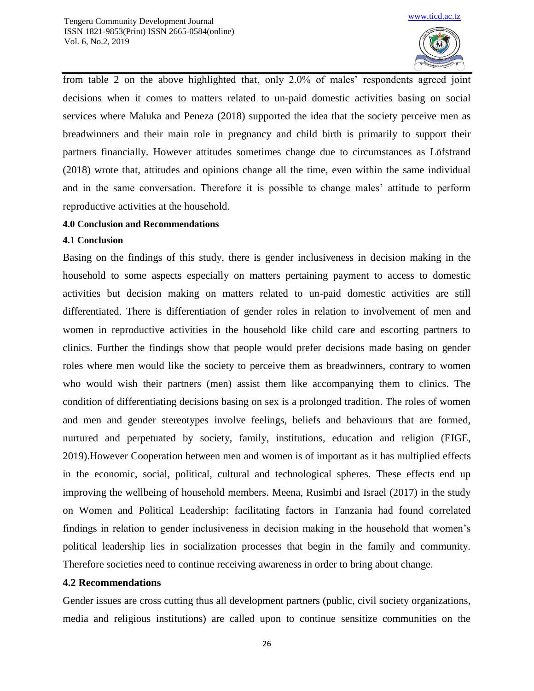

from table 2 on the above highlighted that, only 2.0% of males' respondents agreed joint decisions when it comes to matters related to un-paid domestic activities basing on social services where Maluka and Peneza (2018) supported the idea that the society perceive men as breadwinners and their main role in pregnancy and child birth is primarily to support their partners financially. However attitudes sometimes change due to circumstances as Löfstrand (2018) wrote that, attitudes and opinions change all the time, even within the same individual and in the same conversation. Therefore it is possible to change males' attitude to perform reproductive activities at the household.

#### **4.0 Conclusion and Recommendations**

#### **4.1 Conclusion**

Basing on the findings of this study, there is gender inclusiveness in decision making in the household to some aspects especially on matters pertaining payment to access to domestic activities but decision making on matters related to un-paid domestic activities are still differentiated. There is differentiation of gender roles in relation to involvement of men and women in reproductive activities in the household like child care and escorting partners to clinics. Further the findings show that people would prefer decisions made basing on gender roles where men would like the society to perceive them as breadwinners, contrary to women who would wish their partners (men) assist them like accompanying them to clinics. The condition of differentiating decisions basing on sex is a prolonged tradition. The roles of women and men and gender stereotypes involve feelings, beliefs and behaviours that are formed, nurtured and perpetuated by society, family, institutions, education and religion (EIGE, 2019).However Cooperation between men and women is of important as it has multiplied effects in the economic, social, political, cultural and technological spheres. These effects end up improving the wellbeing of household members. Meena, Rusimbi and Israel (2017) in the study on Women and Political Leadership: facilitating factors in Tanzania had found correlated findings in relation to gender inclusiveness in decision making in the household that women's political leadership lies in socialization processes that begin in the family and community. Therefore societies need to continue receiving awareness in order to bring about change.

#### **4.2 Recommendations**

Gender issues are cross cutting thus all development partners (public, civil society organizations, media and religious institutions) are called upon to continue sensitize communities on the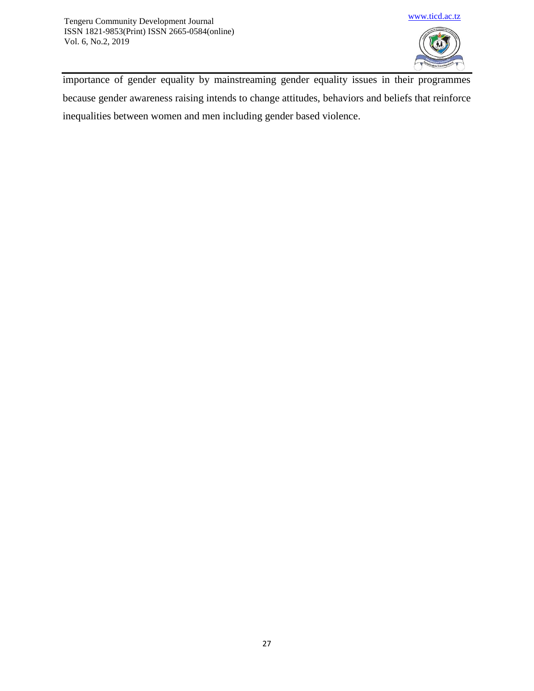

importance of gender equality by mainstreaming gender equality issues in their programmes because gender awareness raising intends to change attitudes, behaviors and beliefs that reinforce inequalities between women and men including gender based violence.